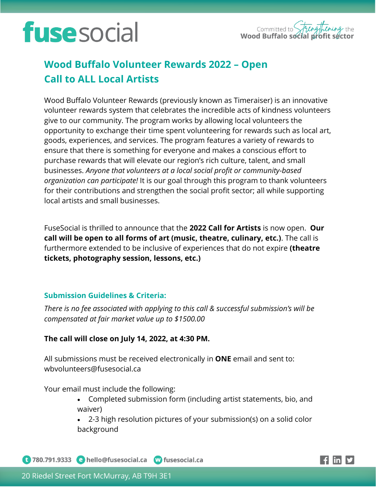# **fuse** social



### **Wood Buffalo Volunteer Rewards 2022 – Open Call to ALL Local Artists**

Wood Buffalo Volunteer Rewards (previously known as Timeraiser) is an innovative volunteer rewards system that celebrates the incredible acts of kindness volunteers give to our community. The program works by allowing local volunteers the opportunity to exchange their time spent volunteering for rewards such as local art, goods, experiences, and services. The program features a variety of rewards to ensure that there is something for everyone and makes a conscious effort to purchase rewards that will elevate our region's rich culture, talent, and small businesses. *Anyone that volunteers at a local social profit or community-based organization can participate!* It is our goal through this program to thank volunteers for their contributions and strengthen the social profit sector; all while supporting local artists and small businesses.

FuseSocial is thrilled to announce that the **2022 Call for Artists** is now open. **Our call will be open to all forms of art (music, theatre, culinary, etc.)**. The call is furthermore extended to be inclusive of experiences that do not expire **(theatre tickets, photography session, lessons, etc.)**

### **Submission Guidelines & Criteria:**

*There is no fee associated with applying to this call & successful submission's will be compensated at fair market value up to \$1500.00*

### **The call will close on July 14, 2022, at 4:30 PM.**

All submissions must be received electronically in **ONE** email and sent to: wbvolunteers@fusesocial.ca

Your email must include the following:

• Completed submission form (including artist statements, bio, and waiver)

• 2-3 high resolution pictures of your submission(s) on a solid color background

<sup>1</sup> 780.791.9333 • hello@fusesocial.ca • Musesocial.ca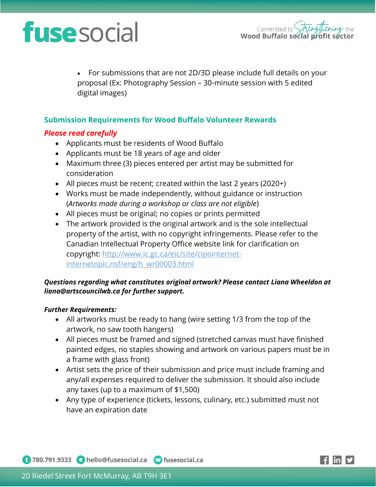# **fuse** social

• For submissions that are not 2D/3D please include full details on your proposal (Ex: Photography Session – 30-minute session with 5 edited digital images)

### **Submission Requirements for Wood Buffalo Volunteer Rewards**

### *Please read carefully*

- Applicants must be residents of Wood Buffalo
- Applicants must be 18 years of age and older
- Maximum three (3) pieces entered per artist may be submitted for consideration
- All pieces must be recent; created within the last 2 years (2020+)
- Works must be made independently, without guidance or instruction (*Artworks made during a workshop or class are not eligible*)
- All pieces must be original; no copies or prints permitted
- The artwork provided is the original artwork and is the sole intellectual property of the artist, with no copyright infringements. Please refer to the Canadian Intellectual Property Office website link for clarification on copyright: [http://www.ic.gc.ca/eic/site/cipointernet](http://www.ic.gc.ca/eic/site/cipointernet-internetopic.nsf/eng/h_wr00003.html)[internetopic.nsf/eng/h\\_wr00003.html](http://www.ic.gc.ca/eic/site/cipointernet-internetopic.nsf/eng/h_wr00003.html)

#### *Questions regarding what constitutes original artwork? Please contact Liana Wheeldon at liana@artscouncilwb.ca for further support.*

#### *Further Requirements:*

- All artworks must be ready to hang (wire setting 1/3 from the top of the artwork, no saw tooth hangers)
- All pieces must be framed and signed (stretched canvas must have finished painted edges, no staples showing and artwork on various papers must be in a frame with glass front)
- Artist sets the price of their submission and price must include framing and any/all expenses required to deliver the submission. It should also include any taxes (up to a maximum of \$1,500)
- Any type of experience (tickets, lessons, culinary, etc.) submitted must not have an expiration date

1 780.791.9333 e hello@fusesocial.ca W fusesocial.ca